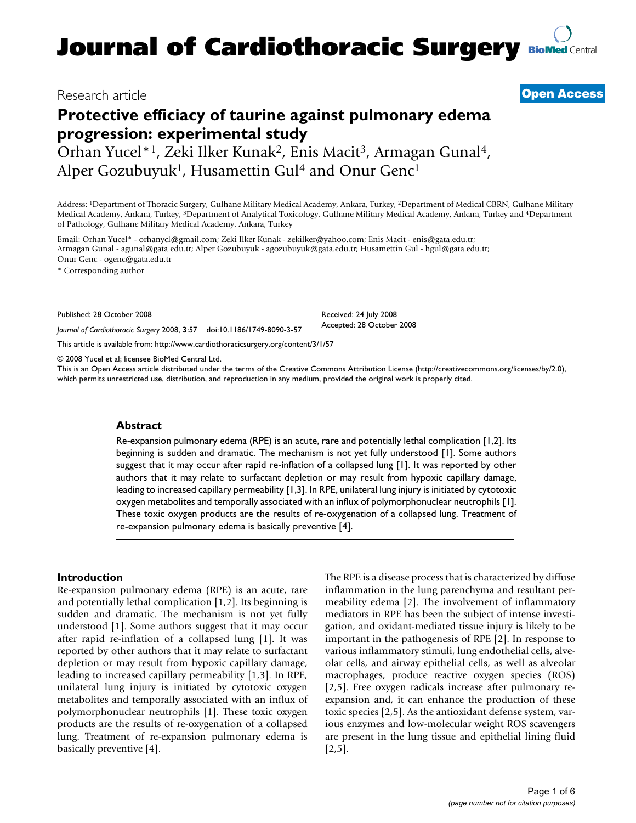# Research article **[Open Access](http://www.biomedcentral.com/info/about/charter/)**

# **Protective efficiacy of taurine against pulmonary edema progression: experimental study**

Orhan Yucel\*1, Zeki Ilker Kunak2, Enis Macit3, Armagan Gunal4, Alper Gozubuyuk<sup>1</sup>, Husamettin Gul<sup>4</sup> and Onur Genc<sup>1</sup>

Address: 1Department of Thoracic Surgery, Gulhane Military Medical Academy, Ankara, Turkey, 2Department of Medical CBRN, Gulhane Military Medical Academy, Ankara, Turkey, 3Department of Analytical Toxicology, Gulhane Military Medical Academy, Ankara, Turkey and 4Department of Pathology, Gulhane Military Medical Academy, Ankara, Turkey

Email: Orhan Yucel\* - orhanycl@gmail.com; Zeki Ilker Kunak - zekilker@yahoo.com; Enis Macit - enis@gata.edu.tr; Armagan Gunal - agunal@gata.edu.tr; Alper Gozubuyuk - agozubuyuk@gata.edu.tr; Husamettin Gul - hgul@gata.edu.tr; Onur Genc - ogenc@gata.edu.tr

\* Corresponding author

Published: 28 October 2008

*Journal of Cardiothoracic Surgery* 2008, **3**:57 doi:10.1186/1749-8090-3-57

[This article is available from: http://www.cardiothoracicsurgery.org/content/3/1/57](http://www.cardiothoracicsurgery.org/content/3/1/57)

© 2008 Yucel et al; licensee BioMed Central Ltd.

This is an Open Access article distributed under the terms of the Creative Commons Attribution License [\(http://creativecommons.org/licenses/by/2.0\)](http://creativecommons.org/licenses/by/2.0), which permits unrestricted use, distribution, and reproduction in any medium, provided the original work is properly cited.

Received: 24 July 2008 Accepted: 28 October 2008

#### **Abstract**

Re-expansion pulmonary edema (RPE) is an acute, rare and potentially lethal complication [1,2]. Its beginning is sudden and dramatic. The mechanism is not yet fully understood [1]. Some authors suggest that it may occur after rapid re-inflation of a collapsed lung [1]. It was reported by other authors that it may relate to surfactant depletion or may result from hypoxic capillary damage, leading to increased capillary permeability [1,3]. In RPE, unilateral lung injury is initiated by cytotoxic oxygen metabolites and temporally associated with an influx of polymorphonuclear neutrophils [1]. These toxic oxygen products are the results of re-oxygenation of a collapsed lung. Treatment of re-expansion pulmonary edema is basically preventive [4].

#### **Introduction**

Re-expansion pulmonary edema (RPE) is an acute, rare and potentially lethal complication [1,2]. Its beginning is sudden and dramatic. The mechanism is not yet fully understood [1]. Some authors suggest that it may occur after rapid re-inflation of a collapsed lung [1]. It was reported by other authors that it may relate to surfactant depletion or may result from hypoxic capillary damage, leading to increased capillary permeability [1,3]. In RPE, unilateral lung injury is initiated by cytotoxic oxygen metabolites and temporally associated with an influx of polymorphonuclear neutrophils [1]. These toxic oxygen products are the results of re-oxygenation of a collapsed lung. Treatment of re-expansion pulmonary edema is basically preventive [4].

The RPE is a disease process that is characterized by diffuse inflammation in the lung parenchyma and resultant permeability edema [2]. The involvement of inflammatory mediators in RPE has been the subject of intense investigation, and oxidant-mediated tissue injury is likely to be important in the pathogenesis of RPE [2]. In response to various inflammatory stimuli, lung endothelial cells, alveolar cells, and airway epithelial cells, as well as alveolar macrophages, produce reactive oxygen species (ROS) [2,5]. Free oxygen radicals increase after pulmonary reexpansion and, it can enhance the production of these toxic species [2,5]. As the antioxidant defense system, various enzymes and low-molecular weight ROS scavengers are present in the lung tissue and epithelial lining fluid  $[2,5]$ .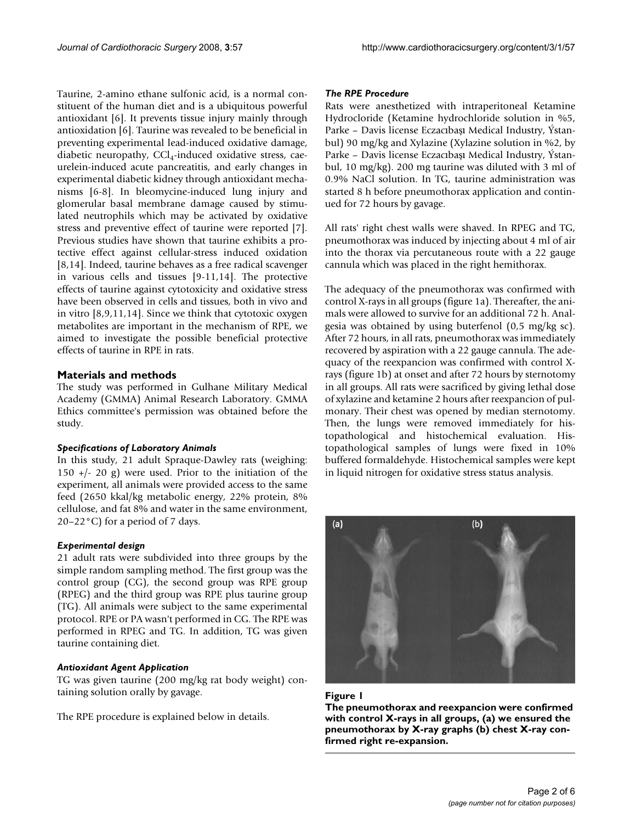Taurine, 2-amino ethane sulfonic acid, is a normal constituent of the human diet and is a ubiquitous powerful antioxidant [6]. It prevents tissue injury mainly through antioxidation [6]. Taurine was revealed to be beneficial in preventing experimental lead-induced oxidative damage, diabetic neuropathy,  $CCl<sub>4</sub>$ -induced oxidative stress, caeurelein-induced acute pancreatitis, and early changes in experimental diabetic kidney through antioxidant mechanisms [6-8]. In bleomycine-induced lung injury and glomerular basal membrane damage caused by stimulated neutrophils which may be activated by oxidative stress and preventive effect of taurine were reported [7]. Previous studies have shown that taurine exhibits a protective effect against cellular-stress induced oxidation [8,14]. Indeed, taurine behaves as a free radical scavenger in various cells and tissues [9-11,14]. The protective effects of taurine against cytotoxicity and oxidative stress have been observed in cells and tissues, both in vivo and in vitro [8,9,11,14]. Since we think that cytotoxic oxygen metabolites are important in the mechanism of RPE, we aimed to investigate the possible beneficial protective effects of taurine in RPE in rats.

#### **Materials and methods**

The study was performed in Gulhane Military Medical Academy (GMMA) Animal Research Laboratory. GMMA Ethics committee's permission was obtained before the study.

#### *Specifications of Laboratory Animals*

In this study, 21 adult Spraque-Dawley rats (weighing: 150 +/- 20 g) were used. Prior to the initiation of the experiment, all animals were provided access to the same feed (2650 kkal/kg metabolic energy, 22% protein, 8% cellulose, and fat 8% and water in the same environment, 20–22°C) for a period of 7 days.

#### *Experimental design*

21 adult rats were subdivided into three groups by the simple random sampling method. The first group was the control group (CG), the second group was RPE group (RPEG) and the third group was RPE plus taurine group (TG). All animals were subject to the same experimental protocol. RPE or PA wasn't performed in CG. The RPE was performed in RPEG and TG. In addition, TG was given taurine containing diet.

#### *Antioxidant Agent Application*

TG was given taurine (200 mg/kg rat body weight) containing solution orally by gavage.

The RPE procedure is explained below in details.

#### *The RPE Procedure*

Rats were anesthetized with intraperitoneal Ketamine Hydrocloride (Ketamine hydrochloride solution in %5, Parke – Davis license Eczacıbası Medical Industry, Ýstanbul) 90 mg/kg and Xylazine (Xylazine solution in %2, by Parke – Davis license Eczacıbası Medical Industry, Ýstanbul, 10 mg/kg). 200 mg taurine was diluted with 3 ml of 0.9% NaCl solution. In TG, taurine administration was started 8 h before pneumothorax application and continued for 72 hours by gavage.

All rats' right chest walls were shaved. In RPEG and TG, pneumothorax was induced by injecting about 4 ml of air into the thorax via percutaneous route with a 22 gauge cannula which was placed in the right hemithorax.

The adequacy of the pneumothorax was confirmed with control X-rays in all groups (figure 1a). Thereafter, the animals were allowed to survive for an additional 72 h. Analgesia was obtained by using buterfenol (0,5 mg/kg sc). After 72 hours, in all rats, pneumothorax was immediately recovered by aspiration with a 22 gauge cannula. The adequacy of the reexpancion was confirmed with control Xrays (figure 1b) at onset and after 72 hours by sternotomy in all groups. All rats were sacrificed by giving lethal dose of xylazine and ketamine 2 hours after reexpancion of pulmonary. Their chest was opened by median sternotomy. Then, the lungs were removed immediately for histopathological and histochemical evaluation. Histopathological samples of lungs were fixed in 10% buffered formaldehyde. Histochemical samples were kept in liquid nitrogen for oxidative stress status analysis.





**The pneumothorax and reexpancion were confirmed with control X-rays in all groups, (a) we ensured the pneumothorax by X-ray graphs (b) chest X-ray confirmed right re-expansion.**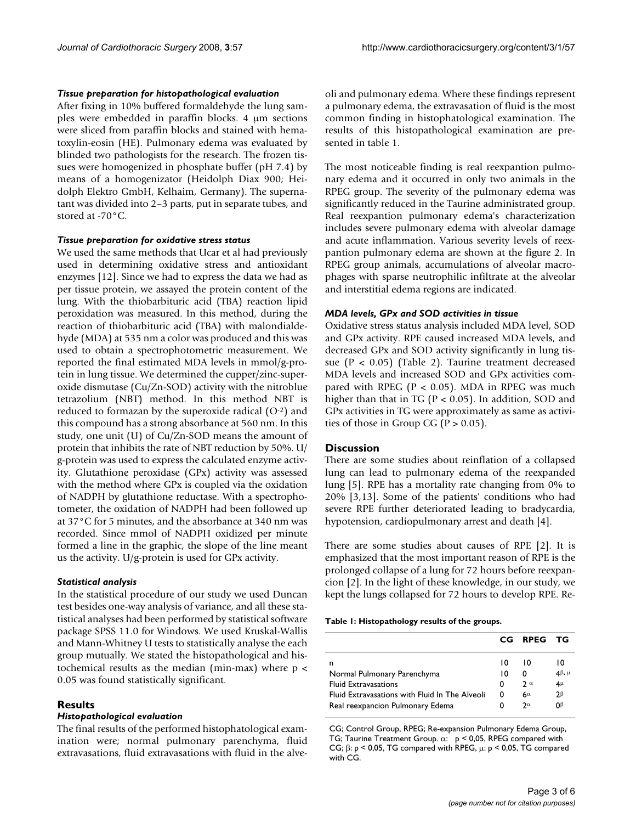#### *Tissue preparation for histopathological evaluation*

After fixing in 10% buffered formaldehyde the lung samples were embedded in paraffin blocks. 4 μm sections were sliced from paraffin blocks and stained with hematoxylin-eosin (HE). Pulmonary edema was evaluated by blinded two pathologists for the research. The frozen tissues were homogenized in phosphate buffer (pH 7.4) by means of a homogenizator (Heidolph Diax 900; Heidolph Elektro GmbH, Kelhaim, Germany). The supernatant was divided into 2–3 parts, put in separate tubes, and stored at -70°C.

#### *Tissue preparation for oxidative stress status*

We used the same methods that Ucar et al had previously used in determining oxidative stress and antioxidant enzymes [12]. Since we had to express the data we had as per tissue protein, we assayed the protein content of the lung. With the thiobarbituric acid (TBA) reaction lipid peroxidation was measured. In this method, during the reaction of thiobarbituric acid (TBA) with malondialdehyde (MDA) at 535 nm a color was produced and this was used to obtain a spectrophotometric measurement. We reported the final estimated MDA levels in mmol/g-protein in lung tissue. We determined the cupper/zinc-superoxide dismutase (Cu/Zn-SOD) activity with the nitroblue tetrazolium (NBT) method. In this method NBT is reduced to formazan by the superoxide radical  $(O^{-2})$  and this compound has a strong absorbance at 560 nm. In this study, one unit (U) of Cu/Zn-SOD means the amount of protein that inhibits the rate of NBT reduction by 50%. U/ g-protein was used to express the calculated enzyme activity. Glutathione peroxidase (GPx) activity was assessed with the method where GPx is coupled via the oxidation of NADPH by glutathione reductase. With a spectrophotometer, the oxidation of NADPH had been followed up at 37°C for 5 minutes, and the absorbance at 340 nm was recorded. Since mmol of NADPH oxidized per minute formed a line in the graphic, the slope of the line meant us the activity. U/g-protein is used for GPx activity.

#### *Statistical analysis*

In the statistical procedure of our study we used Duncan test besides one-way analysis of variance, and all these statistical analyses had been performed by statistical software package SPSS 11.0 for Windows. We used Kruskal-Wallis and Mann-Whitney U tests to statistically analyse the each group mutually. We stated the histopathological and histochemical results as the median (min-max) where  $p <$ 0.05 was found statistically significant.

### **Results**

#### *Histopathological evaluation*

The final results of the performed histophatological examination were; normal pulmonary parenchyma, fluid extravasations, fluid extravasations with fluid in the alveoli and pulmonary edema. Where these findings represent a pulmonary edema, the extravasation of fluid is the most common finding in histophatological examination. The results of this histopathological examination are presented in table 1.

The most noticeable finding is real reexpantion pulmonary edema and it occurred in only two animals in the RPEG group. The severity of the pulmonary edema was significantly reduced in the Taurine administrated group. Real reexpantion pulmonary edema's characterization includes severe pulmonary edema with alveolar damage and acute inflammation. Various severity levels of reexpantion pulmonary edema are shown at the figure 2. In RPEG group animals, accumulations of alveolar macrophages with sparse neutrophilic infiltrate at the alveolar and interstitial edema regions are indicated.

#### *MDA levels, GPx and SOD activities in tissue*

Oxidative stress status analysis included MDA level, SOD and GPx activity. RPE caused increased MDA levels, and decreased GPx and SOD activity significantly in lung tissue (P < 0.05) (Table 2). Taurine treatment decreased MDA levels and increased SOD and GPx activities compared with RPEG ( $P < 0.05$ ). MDA in RPEG was much higher than that in TG ( $P < 0.05$ ). In addition, SOD and GPx activities in TG were approximately as same as activities of those in Group CG ( $P > 0.05$ ).

### **Discussion**

There are some studies about reinflation of a collapsed lung can lead to pulmonary edema of the reexpanded lung [5]. RPE has a mortality rate changing from 0% to 20% [3,13]. Some of the patients' conditions who had severe RPE further deteriorated leading to bradycardia, hypotension, cardiopulmonary arrest and death [4].

There are some studies about causes of RPE [2]. It is emphasized that the most important reason of RPE is the prolonged collapse of a lung for 72 hours before reexpancion [2]. In the light of these knowledge, in our study, we kept the lungs collapsed for 72 hours to develop RPE. Re-

**Table 1: Histopathology results of the groups.**

|                                                | CG. | <b>RPEG</b>  | тG               |
|------------------------------------------------|-----|--------------|------------------|
| n                                              | 10  | 10           | 10               |
| Normal Pulmonary Parenchyma                    | ıΩ  | 0            | $4\beta$ , $\mu$ |
| <b>Fluid Extravasations</b>                    | 0   | $2\alpha$    | $4\mu$           |
| Fluid Extravasations with Fluid In The Alveoli | 0   | $6^{\alpha}$ | $2\beta$         |
| Real reexpancion Pulmonary Edema               | 0   | $2\alpha$    | nβ               |

CG; Control Group, RPEG; Re-expansion Pulmonary Edema Group, TG; Taurine Treatment Group. α: p < 0,05, RPEG compared with CG; β: p < 0,05, TG compared with RPEG, μ: p < 0,05, TG compared with CG.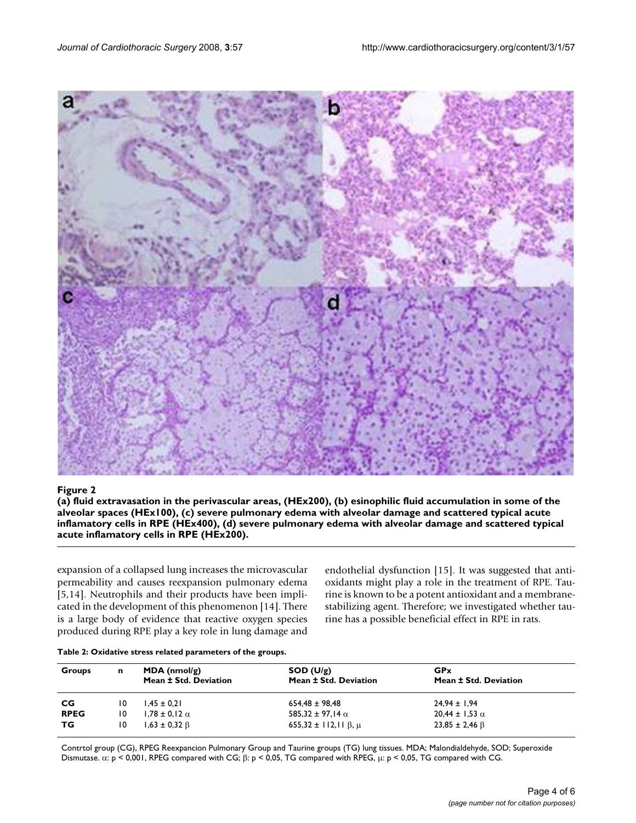

Figure 2 and 2008 and 2008 and 2008 and 2008 and 2008 and 2008 and 2008 and 2008 and 2008 and 2008 and 2008 an **(a) fluid extravasation in the perivascular areas, (HEx200), (b) esinophilic fluid accumulation in some of the alveolar spaces (HEx100), (c) severe pulmonary edema with alveolar damage and scattered typical acute inflamatory cells in RPE (HEx400), (d) severe pulmonary edema with alveolar damage and scattered typical acute inflamatory cells in RPE (HEx200).**

expansion of a collapsed lung increases the microvascular permeability and causes reexpansion pulmonary edema [5,14]. Neutrophils and their products have been implicated in the development of this phenomenon [14]. There is a large body of evidence that reactive oxygen species produced during RPE play a key role in lung damage and endothelial dysfunction [15]. It was suggested that antioxidants might play a role in the treatment of RPE. Taurine is known to be a potent antioxidant and a membranestabilizing agent. Therefore; we investigated whether taurine has a possible beneficial effect in RPE in rats.

| Groups      | n  | $MDA$ (nmol/g)<br>Mean ± Std. Deviation | SOD (U/g)<br>Mean ± Std. Deviation | <b>GP</b> x<br>Mean ± Std. Deviation |
|-------------|----|-----------------------------------------|------------------------------------|--------------------------------------|
| CG          | 10 | $1.45 \pm 0.21$                         | $654.48 \pm 98.48$                 | $24,94 \pm 1,94$                     |
| <b>RPEG</b> | 10 | $1,78 \pm 0,12 \alpha$                  | 585,32 ± 97,14 $\alpha$            | $20,44 \pm 1,53 \alpha$              |
| тG          | 10 | $1,63 \pm 0,32 \ \beta$                 | $655,32 \pm 112,11 \beta, \mu$     | $23,85 \pm 2,46 \beta$               |

Contrtol group (CG), RPEG Reexpancion Pulmonary Group and Taurine groups (TG) lung tissues. MDA; Malondialdehyde, SOD; Superoxide Dismutase. α: p < 0,001, RPEG compared with CG; β: p < 0,05, TG compared with RPEG, μ: p < 0,05, TG compared with CG.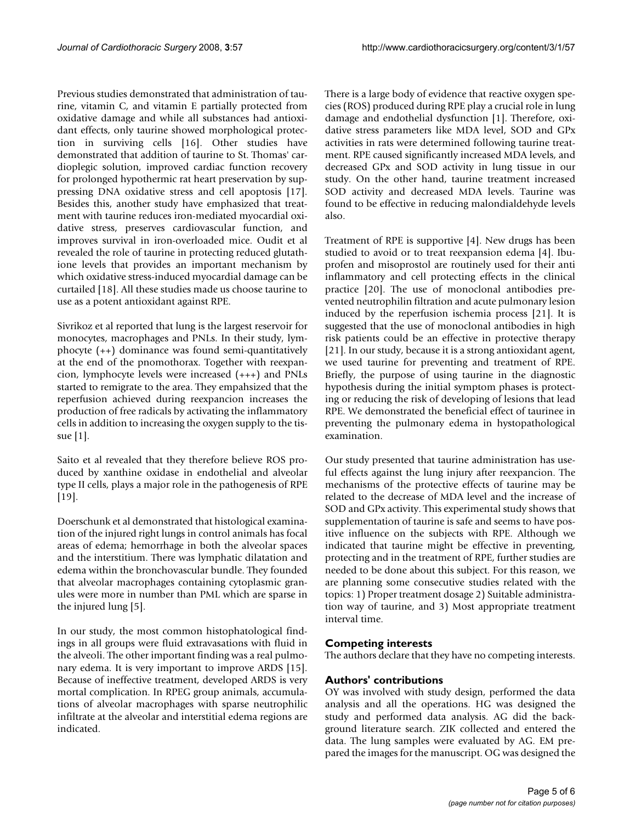Previous studies demonstrated that administration of taurine, vitamin C, and vitamin E partially protected from oxidative damage and while all substances had antioxidant effects, only taurine showed morphological protection in surviving cells [16]. Other studies have demonstrated that addition of taurine to St. Thomas' cardioplegic solution, improved cardiac function recovery for prolonged hypothermic rat heart preservation by suppressing DNA oxidative stress and cell apoptosis [17]. Besides this, another study have emphasized that treatment with taurine reduces iron-mediated myocardial oxidative stress, preserves cardiovascular function, and improves survival in iron-overloaded mice. Oudit et al revealed the role of taurine in protecting reduced glutathione levels that provides an important mechanism by which oxidative stress-induced myocardial damage can be curtailed [18]. All these studies made us choose taurine to use as a potent antioxidant against RPE.

Sivrikoz et al reported that lung is the largest reservoir for monocytes, macrophages and PNLs. In their study, lymphocyte (++) dominance was found semi-quantitatively at the end of the pnomothorax. Together with reexpancion, lymphocyte levels were increased (+++) and PNLs started to remigrate to the area. They empahsized that the reperfusion achieved during reexpancion increases the production of free radicals by activating the inflammatory cells in addition to increasing the oxygen supply to the tissue [1].

Saito et al revealed that they therefore believe ROS produced by xanthine oxidase in endothelial and alveolar type II cells, plays a major role in the pathogenesis of RPE [19].

Doerschunk et al demonstrated that histological examination of the injured right lungs in control animals has focal areas of edema; hemorrhage in both the alveolar spaces and the interstitium. There was lymphatic dilatation and edema within the bronchovascular bundle. They founded that alveolar macrophages containing cytoplasmic granules were more in number than PML which are sparse in the injured lung [5].

In our study, the most common histophatological findings in all groups were fluid extravasations with fluid in the alveoli. The other important finding was a real pulmonary edema. It is very important to improve ARDS [15]. Because of ineffective treatment, developed ARDS is very mortal complication. In RPEG group animals, accumulations of alveolar macrophages with sparse neutrophilic infiltrate at the alveolar and interstitial edema regions are indicated.

There is a large body of evidence that reactive oxygen species (ROS) produced during RPE play a crucial role in lung damage and endothelial dysfunction [1]. Therefore, oxidative stress parameters like MDA level, SOD and GPx activities in rats were determined following taurine treatment. RPE caused significantly increased MDA levels, and decreased GPx and SOD activity in lung tissue in our study. On the other hand, taurine treatment increased SOD activity and decreased MDA levels. Taurine was found to be effective in reducing malondialdehyde levels also.

Treatment of RPE is supportive [4]. New drugs has been studied to avoid or to treat reexpansion edema [4]. Ibuprofen and misoprostol are routinely used for their anti inflammatory and cell protecting effects in the clinical practice [20]. The use of monoclonal antibodies prevented neutrophilin filtration and acute pulmonary lesion induced by the reperfusion ischemia process [21]. It is suggested that the use of monoclonal antibodies in high risk patients could be an effective in protective therapy [21]. In our study, because it is a strong antioxidant agent, we used taurine for preventing and treatment of RPE. Briefly, the purpose of using taurine in the diagnostic hypothesis during the initial symptom phases is protecting or reducing the risk of developing of lesions that lead RPE. We demonstrated the beneficial effect of taurinee in preventing the pulmonary edema in hystopathological examination.

Our study presented that taurine administration has useful effects against the lung injury after reexpancion. The mechanisms of the protective effects of taurine may be related to the decrease of MDA level and the increase of SOD and GPx activity. This experimental study shows that supplementation of taurine is safe and seems to have positive influence on the subjects with RPE. Although we indicated that taurine might be effective in preventing, protecting and in the treatment of RPE, further studies are needed to be done about this subject. For this reason, we are planning some consecutive studies related with the topics: 1) Proper treatment dosage 2) Suitable administration way of taurine, and 3) Most appropriate treatment interval time.

## **Competing interests**

The authors declare that they have no competing interests.

# **Authors' contributions**

OY was involved with study design, performed the data analysis and all the operations. HG was designed the study and performed data analysis. AG did the background literature search. ZIK collected and entered the data. The lung samples were evaluated by AG. EM prepared the images for the manuscript. OG was designed the